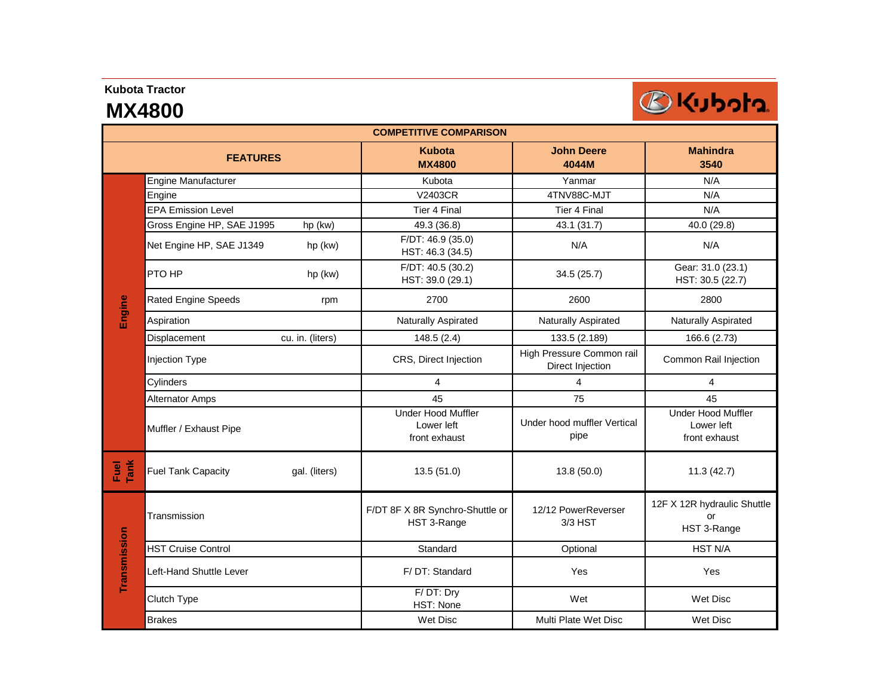#### **Kubota Tractor**

# **MX4800**



| <b>COMPETITIVE COMPARISON</b> |                                            |                                                          |                                               |                                                          |  |  |  |
|-------------------------------|--------------------------------------------|----------------------------------------------------------|-----------------------------------------------|----------------------------------------------------------|--|--|--|
|                               | <b>FEATURES</b>                            | <b>Kubota</b><br><b>MX4800</b>                           | <b>John Deere</b><br>4044M                    | <b>Mahindra</b><br>3540                                  |  |  |  |
|                               | Engine Manufacturer                        | Kubota                                                   | Yanmar                                        | N/A                                                      |  |  |  |
|                               | Engine                                     | V2403CR                                                  | 4TNV88C-MJT                                   | N/A                                                      |  |  |  |
|                               | <b>EPA Emission Level</b>                  | Tier 4 Final                                             | Tier 4 Final                                  | N/A                                                      |  |  |  |
|                               | Gross Engine HP, SAE J1995<br>hp (kw)      | 49.3 (36.8)                                              | 43.1 (31.7)                                   | 40.0 (29.8)                                              |  |  |  |
| Engine                        | Net Engine HP, SAE J1349<br>hp (kw)        | F/DT: 46.9(35.0)<br>HST: 46.3 (34.5)                     | N/A                                           | N/A                                                      |  |  |  |
|                               | PTO HP<br>hp (kw)                          | F/DT: 40.5 (30.2)<br>HST: 39.0 (29.1)                    | 34.5 (25.7)                                   | Gear: 31.0 (23.1)<br>HST: 30.5 (22.7)                    |  |  |  |
|                               | Rated Engine Speeds<br>rpm                 | 2700                                                     | 2600                                          | 2800                                                     |  |  |  |
|                               | Aspiration                                 | Naturally Aspirated                                      | Naturally Aspirated                           | Naturally Aspirated                                      |  |  |  |
|                               | cu. in. (liters)<br>Displacement           | 148.5(2.4)                                               | 133.5 (2.189)                                 | 166.6 (2.73)                                             |  |  |  |
|                               | <b>Injection Type</b>                      | CRS, Direct Injection                                    | High Pressure Common rail<br>Direct Injection | Common Rail Injection                                    |  |  |  |
|                               | Cylinders                                  | 4                                                        | 4                                             | 4                                                        |  |  |  |
|                               | <b>Alternator Amps</b>                     | 45                                                       | 75                                            | 45                                                       |  |  |  |
|                               | Muffler / Exhaust Pipe                     | <b>Under Hood Muffler</b><br>Lower left<br>front exhaust | Under hood muffler Vertical<br>pipe           | <b>Under Hood Muffler</b><br>Lower left<br>front exhaust |  |  |  |
| Fuel<br>Tank                  | <b>Fuel Tank Capacity</b><br>gal. (liters) | 13.5(51.0)                                               | 13.8 (50.0)                                   | 11.3(42.7)                                               |  |  |  |
| Transmission                  | Transmission                               | F/DT 8F X 8R Synchro-Shuttle or<br>HST 3-Range           | 12/12 PowerReverser<br>$3/3$ HST              | 12F X 12R hydraulic Shuttle<br>or<br>HST 3-Range         |  |  |  |
|                               | <b>HST Cruise Control</b>                  | Standard                                                 | Optional                                      | <b>HST N/A</b>                                           |  |  |  |
|                               | Left-Hand Shuttle Lever                    | F/DT: Standard                                           | Yes                                           | Yes                                                      |  |  |  |
|                               | Clutch Type                                | F/DT: Dry<br>HST: None                                   | Wet                                           | <b>Wet Disc</b>                                          |  |  |  |
|                               | <b>Brakes</b>                              | <b>Wet Disc</b>                                          | Multi Plate Wet Disc                          | <b>Wet Disc</b>                                          |  |  |  |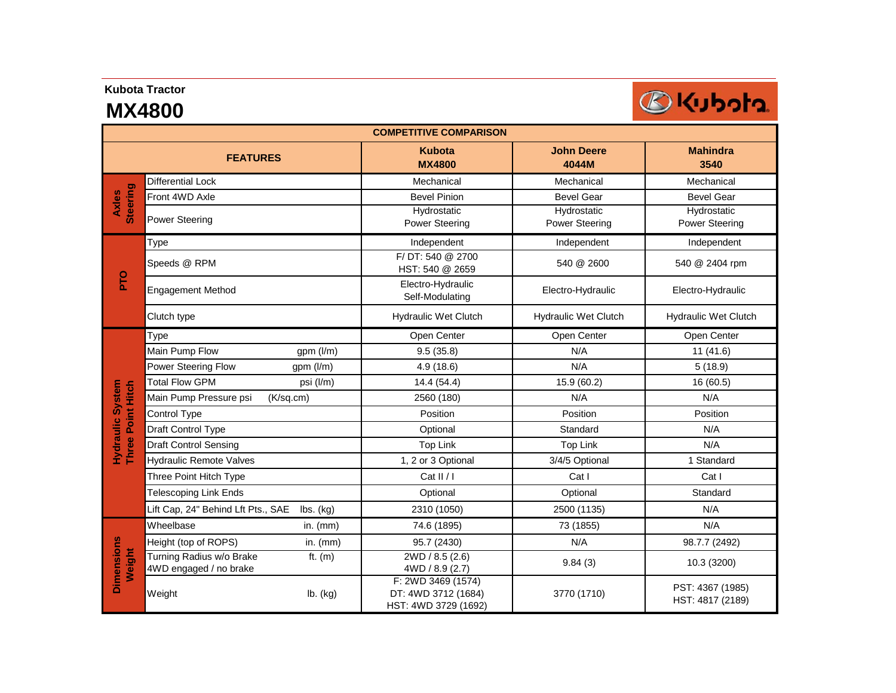### **Kubota Tractor**

# **MX4800**



| <b>COMPETITIVE COMPARISON</b>             |                                                    |                   |                                                                   |                                      |                                      |  |
|-------------------------------------------|----------------------------------------------------|-------------------|-------------------------------------------------------------------|--------------------------------------|--------------------------------------|--|
|                                           | <b>FEATURES</b>                                    |                   | <b>Kubota</b><br><b>MX4800</b>                                    | <b>John Deere</b><br>4044M           | <b>Mahindra</b><br>3540              |  |
| <b>Steering</b><br><b>Axles</b>           | <b>Differential Lock</b>                           |                   | Mechanical                                                        | Mechanical                           | Mechanical                           |  |
|                                           | Front 4WD Axle                                     |                   | <b>Bevel Pinion</b>                                               | <b>Bevel Gear</b>                    | <b>Bevel Gear</b>                    |  |
|                                           | <b>Power Steering</b>                              |                   | Hydrostatic<br>Power Steering                                     | Hydrostatic<br><b>Power Steering</b> | Hydrostatic<br><b>Power Steering</b> |  |
| <b>PTO</b>                                | Type                                               |                   | Independent                                                       | Independent                          | Independent                          |  |
|                                           | Speeds @ RPM                                       |                   | F/DT: 540 @ 2700<br>HST: 540 @ 2659                               | 540 @ 2600                           | 540 @ 2404 rpm                       |  |
|                                           | <b>Engagement Method</b>                           |                   | Electro-Hydraulic<br>Self-Modulating                              | Electro-Hydraulic                    | Electro-Hydraulic                    |  |
|                                           | Clutch type                                        |                   | <b>Hydraulic Wet Clutch</b>                                       | <b>Hydraulic Wet Clutch</b>          | Hydraulic Wet Clutch                 |  |
| <b>System</b><br><b>Three Point Hitch</b> | Type                                               |                   | Open Center                                                       | Open Center                          | Open Center                          |  |
|                                           | Main Pump Flow                                     | gpm (l/m)         | 9.5(35.8)                                                         | N/A                                  | 11(41.6)                             |  |
|                                           | Power Steering Flow                                | gpm (l/m)         | 4.9(18.6)                                                         | N/A                                  | 5(18.9)                              |  |
|                                           | <b>Total Flow GPM</b>                              | psi (l/m)         | 14.4(54.4)                                                        | 15.9 (60.2)                          | 16 (60.5)                            |  |
|                                           | Main Pump Pressure psi                             | $(K\sqrt{sq.cm})$ | 2560 (180)                                                        | N/A                                  | N/A                                  |  |
|                                           | Control Type                                       |                   | Position                                                          | Position                             | Position                             |  |
| Hydraulic                                 | Draft Control Type                                 |                   | Optional                                                          | Standard                             | N/A                                  |  |
|                                           | <b>Draft Control Sensing</b>                       |                   | Top Link                                                          | <b>Top Link</b>                      | N/A                                  |  |
|                                           | <b>Hydraulic Remote Valves</b>                     |                   | 1, 2 or 3 Optional                                                | 3/4/5 Optional                       | 1 Standard                           |  |
|                                           | Three Point Hitch Type                             |                   | Cat II/I                                                          | Cat I                                | Cat I                                |  |
|                                           | Telescoping Link Ends                              |                   | Optional                                                          | Optional                             | Standard                             |  |
|                                           | Lift Cap, 24" Behind Lft Pts., SAE                 | lbs. (kg)         | 2310 (1050)                                                       | 2500 (1135)                          | N/A                                  |  |
| <b>Dimensions</b><br>Weight               | Wheelbase                                          | in. (mm)          | 74.6 (1895)                                                       | 73 (1855)                            | N/A                                  |  |
|                                           | Height (top of ROPS)                               | in. $(mm)$        | 95.7 (2430)                                                       | N/A                                  | 98.7.7 (2492)                        |  |
|                                           | Turning Radius w/o Brake<br>4WD engaged / no brake | ft. $(m)$         | 2WD / 8.5 (2.6)<br>4WD / 8.9 (2.7)                                | 9.84(3)                              | 10.3 (3200)                          |  |
|                                           | Weight                                             | lb. (kg)          | F: 2WD 3469 (1574)<br>DT: 4WD 3712 (1684)<br>HST: 4WD 3729 (1692) | 3770 (1710)                          | PST: 4367 (1985)<br>HST: 4817 (2189) |  |